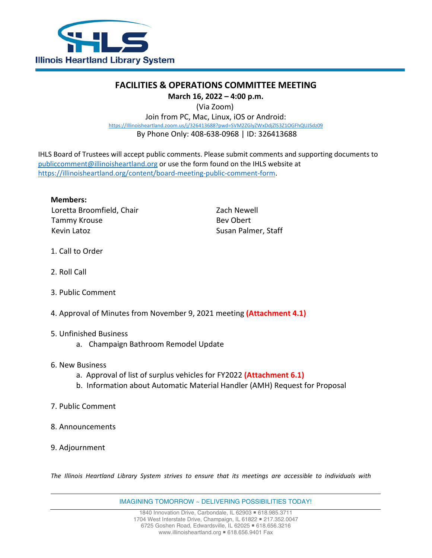

## **FACILITIES & OPERATIONS COMMITTEE MEETING**

**March 16, 2022 – 4:00 p.m.**

(Via Zoom)

Join from PC, Mac, Linux, iOS or Android: [https://Illinoisheartland.zoom.us/j/326413688?pwd=SVM2ZGlyZWxDdjZlS3Z1OGFhQUJSdz09](https://illinoisheartland.zoom.us/j/326413688?pwd=SVM2ZGlyZWxDdjZlS3Z1OGFhQUJSdz09) By Phone Only: 408-638-0968 | ID: 326413688

IHLS Board of Trustees will accept public comments. Please submit comments and supporting documents to [publiccomment@illinoisheartland.org](mailto:publiccomment@illinoisheartland.org) or use the form found on the IHLS website at [https://illinoisheartland.org/content/board-meeting-public-comment-form.](https://illinoisheartland.org/content/board-meeting-public-comment-form)

**Members:** Loretta Broomfield, Chair **Zach Newell** Tammy Krouse **Bev** Obert Kevin Latoz **Susan Palmer, Staff** 

- 1. Call to Order
- 2. Roll Call
- 3. Public Comment
- 4. Approval of Minutes from November 9, 2021 meeting **(Attachment 4.1)**
- 5. Unfinished Business
	- a. Champaign Bathroom Remodel Update
- 6. New Business
	- a. Approval of list of surplus vehicles for FY2022 **(Attachment 6.1)**
	- b. Information about Automatic Material Handler (AMH) Request for Proposal
- 7. Public Comment
- 8. Announcements
- 9. Adjournment

*The Illinois Heartland Library System strives to ensure that its meetings are accessible to individuals with*

IMAGINING TOMORROW ~ DELIVERING POSSIBILITIES TODAY!